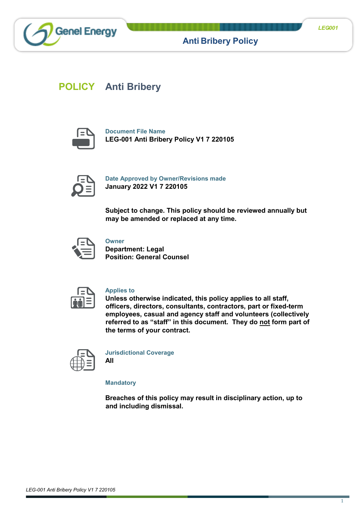



**Anti Bribery Policy**

# **POLICY Anti Bribery**



**Document File Name LEG-001 Anti Bribery Policy V1 7 220105**



**Date Approved by Owner/Revisions made January 2022 V1 7 220105**

**Subject to change. This policy should be reviewed annually but may be amended or replaced at any time.**



**Owner**

**Department: Legal Position: General Counsel**



## **Applies to**

**Unless otherwise indicated, this policy applies to all staff, officers, directors, consultants, contractors, part or fixed-term employees, casual and agency staff and volunteers (collectively referred to as "staff" in this document. They do not form part of the terms of your contract.**



**Jurisdictional Coverage All**

**Mandatory**

**Breaches of this policy may result in disciplinary action, up to and including dismissal.**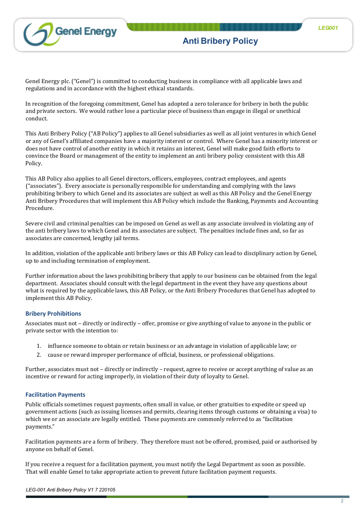

**Anti Bribery Policy**

Genel Energy plc. ("Genel") is committed to conducting business in compliance with all applicable laws and regulations and in accordance with the highest ethical standards.

In recognition of the foregoing commitment, Genel has adopted a zero tolerance for bribery in both the public and private sectors. We would rather lose a particular piece of business than engage in illegal or unethical conduct.

This Anti Bribery Policy ("AB Policy") applies to all Genel subsidiaries as well as all joint ventures in which Genel or any of Genel's affiliated companies have a majority interest or control. Where Genel has a minority interest or does not have control of another entity in which it retains an interest, Genel will make good faith efforts to convince the Board or management of the entity to implement an anti bribery policy consistent with this AB Policy.

This AB Policy also applies to all Genel directors, officers, employees, contract employees, and agents ("associates"). Every associate is personally responsible for understanding and complying with the laws prohibiting bribery to which Genel and its associates are subject as well as this AB Policy and the Genel Energy Anti Bribery Procedures that will implement this AB Policy which include the Banking, Payments and Accounting Procedure.

Severe civil and criminal penalties can be imposed on Genel as well as any associate involved in violating any of the anti bribery laws to which Genel and its associates are subject. The penalties include fines and, so far as associates are concerned, lengthy jail terms.

In addition, violation of the applicable anti bribery laws or this AB Policy can lead to disciplinary action by Genel, up to and including termination of employment.

Further information about the laws prohibiting bribery that apply to our business can be obtained from the legal department. Associates should consult with the legal department in the event they have any questions about what is required by the applicable laws, this AB Policy, or the Anti Bribery Procedures that Genel has adopted to implement this AB Policy.

# **Bribery Prohibitions**

Associates must not – directly or indirectly – offer, promise or give anything of value to anyone in the public or private sector with the intention to:

- 1. influence someone to obtain or retain business or an advantage in violation of applicable law; or
- 2. cause or reward improper performance of official, business, or professional obligations.

Further, associates must not – directly or indirectly – request, agree to receive or accept anything of value as an incentive or reward for acting improperly, in violation of their duty of loyalty to Genel.

## **Facilitation Payments**

Public officials sometimes request payments, often small in value, or other gratuities to expedite or speed up government actions (such as issuing licenses and permits, clearing items through customs or obtaining a visa) to which we or an associate are legally entitled. These payments are commonly referred to as "facilitation payments."

Facilitation payments are a form of bribery. They therefore must not be offered, promised, paid or authorised by anyone on behalf of Genel.

If you receive a request for a facilitation payment, you must notify the Legal Department as soon as possible. That will enable Genel to take appropriate action to prevent future facilitation payment requests.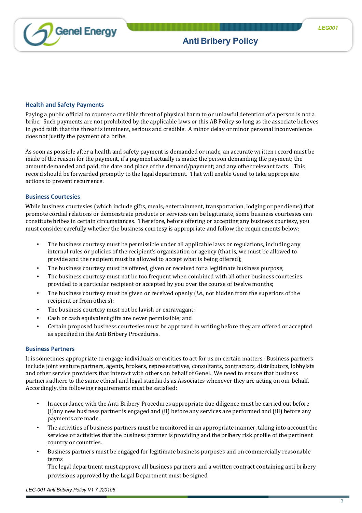

# **Health and Safety Payments**

Paying a public official to counter a credible threat of physical harm to or unlawful detention of a person is not a bribe. Such payments are not prohibited by the applicable laws or this AB Policy so long as the associate believes in good faith that the threat is imminent, serious and credible. A minor delay or minor personal inconvenience does not justify the payment of a bribe.

As soon as possible after a health and safety payment is demanded or made, an accurate written record must be made of the reason for the payment, if a payment actually is made; the person demanding the payment; the amount demanded and paid; the date and place of the demand/payment; and any other relevant facts. This record should be forwarded promptly to the legal department. That will enable Genel to take appropriate actions to prevent recurrence.

## **Business Courtesies**

While business courtesies (which include gifts, meals, entertainment, transportation, lodging or per diems) that promote cordial relations or demonstrate products or services can be legitimate, some business courtesies can constitute bribes in certain circumstances. Therefore, before offering or accepting any business courtesy, you must consider carefully whether the business courtesy is appropriate and follow the requirements below:

- The business courtesy must be permissible under all applicable laws or regulations, including any internal rules or policies of the recipient's organisation or agency (that is, we must be allowed to provide and the recipient must be allowed to accept what is being offered);
- The business courtesy must be offered, given or received for a legitimate business purpose;
- The business courtesy must not be too frequent when combined with all other business courtesies provided to a particular recipient or accepted by you over the course of twelve months;
- The business courtesy must be given or received openly (*i.e.*, not hidden from the superiors of the recipient or from others);
- The business courtesy must not be lavish or extravagant;
- Cash or cash equivalent gifts are never permissible; and
- Certain proposed business courtesies must be approved in writing before they are offered or accepted as specified in the Anti Bribery Procedures.

## **Business Partners**

It is sometimes appropriate to engage individuals or entities to act for us on certain matters. Business partners include joint venture partners, agents, brokers, representatives, consultants, contractors, distributors, lobbyists and other service providers that interact with others on behalf of Genel. We need to ensure that business partners adhere to the same ethical and legal standards as Associates whenever they are acting on our behalf. Accordingly, the following requirements must be satisfied:

- In accordance with the Anti Bribery Procedures appropriate due diligence must be carried out before (i)any new business partner is engaged and (ii) before any services are performed and (iii) before any payments are made.
- The activities of business partners must be monitored in an appropriate manner, taking into account the services or activities that the business partner is providing and the bribery risk profile of the pertinent country or countries.
- Business partners must be engaged for legitimate business purposes and on commercially reasonable terms

The legal department must approve all business partners and a written contract containing anti bribery provisions approved by the Legal Department must be signed.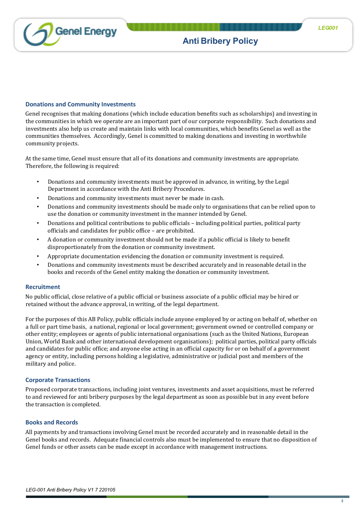

# **Donations and Community Investments**

Genel recognises that making donations (which include education benefits such as scholarships) and investing in the communities in which we operate are an important part of our corporate responsibility. Such donations and investments also help us create and maintain links with local communities, which benefits Genel as well as the communities themselves. Accordingly, Genel is committed to making donations and investing in worthwhile community projects.

At the same time, Genel must ensure that all of its donations and community investments are appropriate. Therefore, the following is required:

- Donations and community investments must be approved in advance, in writing, by the Legal Department in accordance with the Anti Bribery Procedures.
- Donations and community investments must never be made in cash.
- Donations and community investments should be made only to organisations that can be relied upon to use the donation or community investment in the manner intended by Genel.
- Donations and political contributions to public officials including political parties, political party officials and candidates for public office – are prohibited.
- A donation or community investment should not be made if a public official is likely to benefit disproportionately from the donation or community investment.
- Appropriate documentation evidencing the donation or community investment is required.
- Donations and community investments must be described accurately and in reasonable detail in the books and records of the Genel entity making the donation or community investment.

## **Recruitment**

No public official, close relative of a public official or business associate of a public official may be hired or retained without the advance approval, in writing, of the legal department.

For the purposes of this AB Policy, public officials include anyone employed by or acting on behalf of, whether on a full or part time basis, a national, regional or local government; government owned or controlled company or other entity; employees or agents of public international organisations (such as the United Nations, European Union, World Bank and other international development organisations); political parties, political party officials and candidates for public office; and anyone else acting in an official capacity for or on behalf of a government agency or entity, including persons holding a legislative, administrative or judicial post and members of the military and police.

## **Corporate Transactions**

Proposed corporate transactions, including joint ventures, investments and asset acquisitions, must be referred to and reviewed for anti bribery purposes by the legal department as soon as possible but in any event before the transaction is completed.

## **Books and Records**

All payments by and transactions involving Genel must be recorded accurately and in reasonable detail in the Genel books and records. Adequate financial controls also must be implemented to ensure that no disposition of Genel funds or other assets can be made except in accordance with management instructions.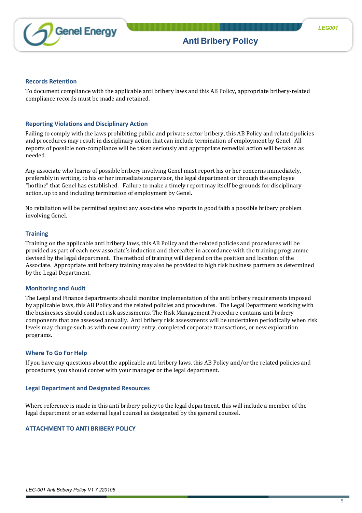

#### **Records Retention**

To document compliance with the applicable anti bribery laws and this AB Policy, appropriate bribery-related compliance records must be made and retained.

# **Reporting Violations and Disciplinary Action**

Failing to comply with the laws prohibiting public and private sector bribery, this AB Policy and related policies and procedures may result in disciplinary action that can include termination of employment by Genel. All reports of possible non-compliance will be taken seriously and appropriate remedial action will be taken as needed.

Any associate who learns of possible bribery involving Genel must report his or her concerns immediately, preferably in writing, to his or her immediate supervisor, the legal department or through the employee "hotline" that Genel has established. Failure to make a timely report may itself be grounds for disciplinary action, up to and including termination of employment by Genel.

No retaliation will be permitted against any associate who reports in good faith a possible bribery problem involving Genel.

## **Training**

Training on the applicable anti bribery laws, this AB Policy and the related policies and procedures will be provided as part of each new associate's induction and thereafter in accordance with the training programme devised by the legal department. The method of training will depend on the position and location of the Associate. Appropriate anti bribery training may also be provided to high risk business partners as determined by the Legal Department.

## **Monitoring and Audit**

The Legal and Finance departments should monitor implementation of the anti bribery requirements imposed by applicable laws, this AB Policy and the related policies and procedures. The Legal Department working with the businesses should conduct risk assessments. The Risk Management Procedure contains anti bribery components that are assessed annually. Anti bribery risk assessments will be undertaken periodically when risk levels may change such as with new country entry, completed corporate transactions, or new exploration programs.

#### **Where To Go For Help**

If you have any questions about the applicable anti bribery laws, this AB Policy and/or the related policies and procedures, you should confer with your manager or the legal department.

## **Legal Department and Designated Resources**

Where reference is made in this anti bribery policy to the legal department, this will include a member of the legal department or an external legal counsel as designated by the general counsel.

## **ATTACHMENT TO ANTI BRIBERY POLICY**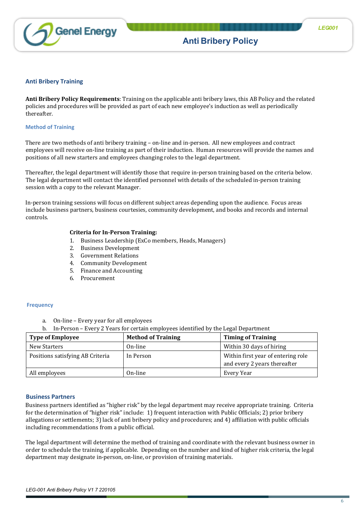

#### **Anti Bribery Training**

**Anti Bribery Policy Requirements**: Training on the applicable anti bribery laws, this AB Policy and the related policies and procedures will be provided as part of each new employee's induction as well as periodically thereafter.

#### **Method of Training**

There are two methods of anti bribery training – on-line and in-person. All new employees and contract employees will receive on-line training as part of their induction. Human resources will provide the names and positions of all new starters and employees changing roles to the legal department.

Thereafter, the legal department will identify those that require in-person training based on the criteria below. The legal department will contact the identified personnel with details of the scheduled in-person training session with a copy to the relevant Manager.

In-person training sessions will focus on different subject areas depending upon the audience. Focus areas include business partners, business courtesies, community development, and books and records and internal controls.

#### **Criteria for In-Person Training:**

- 1. Business Leadership (ExCo members, Heads, Managers)
- 2. Business Development
- 3. Government Relations
- 4. Community Development
- 5. Finance and Accounting
- 6. Procurement

#### **Frequency**

- a. On-line Every year for all employees
- b. In-Person Every 2 Years for certain employees identified by the Legal Department

| <b>Type of Employee</b>          | <b>Method of Training</b> | <b>Timing of Training</b>                                          |
|----------------------------------|---------------------------|--------------------------------------------------------------------|
| New Starters                     | On-line                   | Within 30 days of hiring                                           |
| Positions satisfying AB Criteria | In Person                 | Within first year of entering role<br>and every 2 years thereafter |
| All employees                    | On-line                   | Every Year                                                         |

#### **Business Partners**

Business partners identified as "higher risk" by the legal department may receive appropriate training. Criteria for the determination of "higher risk" include: 1) frequent interaction with Public Officials; 2) prior bribery allegations or settlements; 3) lack of anti bribery policy and procedures; and 4) affiliation with public officials including recommendations from a public official.

The legal department will determine the method of training and coordinate with the relevant business owner in order to schedule the training, if applicable. Depending on the number and kind of higher risk criteria, the legal department may designate in-person, on-line, or provision of training materials.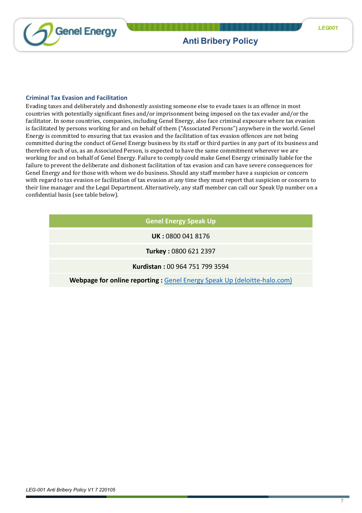

# **Criminal Tax Evasion and Facilitation**

Evading taxes and deliberately and dishonestly assisting someone else to evade taxes is an offence in most countries with potentially significant fines and/or imprisonment being imposed on the tax evader and/or the facilitator. In some countries, companies, including Genel Energy, also face criminal exposure where tax evasion is facilitated by persons working for and on behalf of them ("Associated Persons") anywhere in the world. Genel Energy is committed to ensuring that tax evasion and the facilitation of tax evasion offences are not being committed during the conduct of Genel Energy business by its staff or third parties in any part of its business and therefore each of us, as an Associated Person, is expected to have the same commitment wherever we are working for and on behalf of Genel Energy. Failure to comply could make Genel Energy criminally liable for the failure to prevent the deliberate and dishonest facilitation of tax evasion and can have severe consequences for Genel Energy and for those with whom we do business. Should any staff member have a suspicion or concern with regard to tax evasion or facilitation of tax evasion at any time they must report that suspicion or concern to their line manager and the Legal Department. Alternatively, any staff member can call our Speak Up number on a confidential basis (see table below).

# **Genel Energy Speak Up**

**UK :** 0800 041 8176

**Turkey :** 0800 621 2397

**Kurdistan :** 00 964 751 799 3594

**Webpage for online reporting : [Genel Energy Speak Up \(deloitte-halo.com\)](https://eu.deloitte-halo.com/whistleblower/website/GenelEnergy-SpeakUp)**